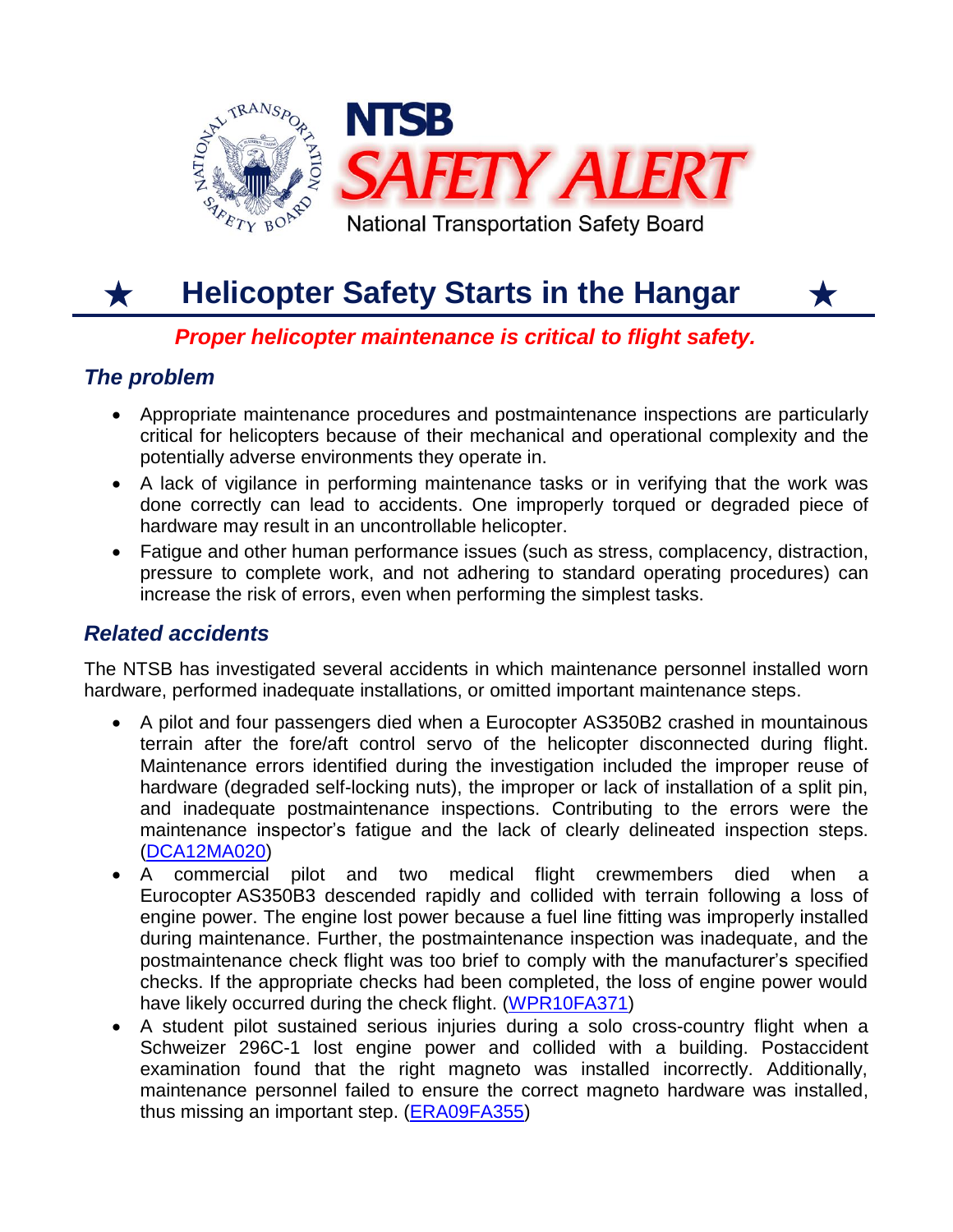

#### **Helicopter Safety Starts in the Hangar**  $\bigstar$

# *Proper helicopter maintenance is critical to flight safety.*

# *The problem*

 Appropriate maintenance procedures and postmaintenance inspections are particularly critical for helicopters because of their mechanical and operational complexity and the potentially adverse environments they operate in.

Х

- A lack of vigilance in performing maintenance tasks or in verifying that the work was done correctly can lead to accidents. One improperly torqued or degraded piece of hardware may result in an uncontrollable helicopter.
- Fatigue and other human performance issues (such as stress, complacency, distraction, pressure to complete work, and not adhering to standard operating procedures) can increase the risk of errors, even when performing the simplest tasks.

## *Related accidents*

The NTSB has investigated several accidents in which maintenance personnel installed worn hardware, performed inadequate installations, or omitted important maintenance steps.

- A pilot and four passengers died when a Eurocopter AS350B2 crashed in mountainous terrain after the fore/aft control servo of the helicopter disconnected during flight. Maintenance errors identified during the investigation included the improper reuse of hardware (degraded self-locking nuts), the improper or lack of installation of a split pin, and inadequate postmaintenance inspections. Contributing to the errors were the maintenance inspector's fatigue and the lack of clearly delineated inspection steps. [\(DCA12MA020\)](http://www.ntsb.gov/aviationquery/brief.aspx?ev_id=20111208X52528&key=1)
- A commercial pilot and two medical flight crewmembers died when a Eurocopter AS350B3 descended rapidly and collided with terrain following a loss of engine power. The engine lost power because a fuel line fitting was improperly installed during maintenance. Further, the postmaintenance inspection was inadequate, and the postmaintenance check flight was too brief to comply with the manufacturer's specified checks. If the appropriate checks had been completed, the loss of engine power would have likely occurred during the check flight. [\(WPR10FA371\)](http://www.ntsb.gov/aviationquery/brief.aspx?ev_id=20100728X92614&key=1)
- A student pilot sustained serious injuries during a solo cross-country flight when a Schweizer 296C-1 lost engine power and collided with a building. Postaccident examination found that the right magneto was installed incorrectly. Additionally, maintenance personnel failed to ensure the correct magneto hardware was installed, thus missing an important step. [\(ERA09FA355\)](http://www.ntsb.gov/aviationquery/brief.aspx?ev_id=20090618X25232&key=1)